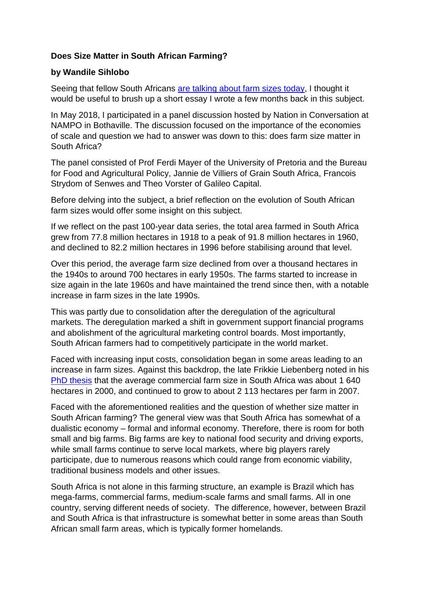## **Does Size Matter in South African Farming?**

## **by Wandile Sihlobo**

Seeing that fellow South Africans [are talking about farm sizes today,](https://www.news24.com/SouthAfrica/News/land-expropriation-heres-how-it-could-be-implemented-says-mantashe-20180815) I thought it would be useful to brush up a short essay I wrote a few months back in this subject.

In May 2018, I participated in a panel discussion hosted by Nation in Conversation at NAMPO in Bothaville. The discussion focused on the importance of the economies of scale and question we had to answer was down to this: does farm size matter in South Africa?

The panel consisted of Prof Ferdi Mayer of the University of Pretoria and the Bureau for Food and Agricultural Policy, Jannie de Villiers of Grain South Africa, Francois Strydom of Senwes and Theo Vorster of Galileo Capital.

Before delving into the subject, a brief reflection on the evolution of South African farm sizes would offer some insight on this subject.

If we reflect on the past 100-year data series, the total area farmed in South Africa grew from 77.8 million hectares in 1918 to a peak of 91.8 million hectares in 1960, and declined to 82.2 million hectares in 1996 before stabilising around that level.

Over this period, the average farm size declined from over a thousand hectares in the 1940s to around 700 hectares in early 1950s. The farms started to increase in size again in the late 1960s and have maintained the trend since then, with a notable increase in farm sizes in the late 1990s.

This was partly due to consolidation after the deregulation of the agricultural markets. The deregulation marked a shift in government support financial programs and abolishment of the agricultural marketing control boards. Most importantly, South African farmers had to competitively participate in the world market.

Faced with increasing input costs, consolidation began in some areas leading to an increase in farm sizes. Against this backdrop, the late Frikkie Liebenberg noted in his [PhD thesis](https://www.google.co.za/search?ei=CqqRWsy3MOWUgAa-kqTADw&q=frikkie+liebenberg+phd&oq=frikkie+liebenberg+phd&gs_l=psy-ab.3...25653.27173.0.28114.4.4.0.0.0.0.327.1188.2-3j1.4.0....0...1.1.64.psy-ab..0.3.923...0j0i22i30k1j33i21k1j33i160k1.0.or6yeyNo84c) that the average commercial farm size in South Africa was about 1 640 hectares in 2000, and continued to grow to about 2 113 hectares per farm in 2007.

Faced with the aforementioned realities and the question of whether size matter in South African farming? The general view was that South Africa has somewhat of a dualistic economy – formal and informal economy. Therefore, there is room for both small and big farms. Big farms are key to national food security and driving exports, while small farms continue to serve local markets, where big players rarely participate, due to numerous reasons which could range from economic viability, traditional business models and other issues.

South Africa is not alone in this farming structure, an example is Brazil which has mega-farms, commercial farms, medium-scale farms and small farms. All in one country, serving different needs of society. The difference, however, between Brazil and South Africa is that infrastructure is somewhat better in some areas than South African small farm areas, which is typically former homelands.